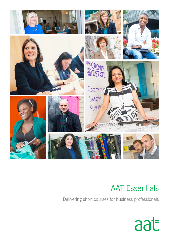

# AAT Essentials

Delivering short courses for business professionals

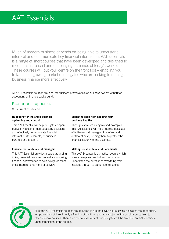Much of modern business depends on being able to understand, interpret and communicate key financial information. AAT Essentials is a range of short courses that have been developed and designed to meet the fast paced and challenging demands of today's workplace. These courses will put your centre on the front foot – enabling you to tap into a growing market of delegates who are looking to manage business finance more effectively.

All AAT Essentials courses are ideal for business professionals or business owners without an accounting or finance background.

# Essentials one-day courses

Our current courses are:

# **Budgeting for the small business – planning and control**

This AAT Essential will help delegates prepare budgets, make informed budgeting decisions and effectively communicate financial information (for example, to business partners or the bank).

# **Finance for non-financial managers**

This AAT Essential provides a basic grounding in key financial processes as well as analysing financial performance to help delegates meet these requirements more effectively.

# **Managing cash flow, keeping your business healthy**

Through exercises using worked examples, this AAT Essential will help improve delegates' effectiveness at managing the inflow and outflow of cash, helping them to protect the financial security of the business.

# **Making sense of financial documents**

This AAT Essential is a practical course which shows delegates how to keep records and understand the purpose of everything from invoices through to bank reconciliations.



All of the AAT Essentials courses are delivered in around seven hours, giving delegates the opportunity to update their skill set in only a fraction of the time, and at a fraction of the cost in comparison to other one-day courses. There's no formal assessment but delegates will be awarded an AAT certificate upon completion of the course.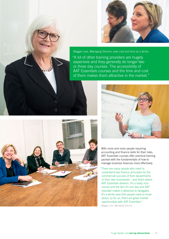

Maggie Love, Managing Director, sees cost and time as a factor:

"A lot of other training providers are hugely expensive and they generally do longer two or three day courses. The accessibility of AAT Essentials courses and the time and cost of them makes them attractive in the market."





With more and more people requiring accounting and finance skills for their roles, AAT Essentials courses offer practical training packed with the fundamentals of how to manage business finances more effectively.

"There are many people who need to understand key finance principles for the commercial success of their departments or their own businesses – and that's where AAT Essentials delivers. It's a really nice course and the fact it's one day and AAT branded makes it attractive to delegates. It's a whole area that people need to know about, so for us, there are great market opportunities with AAT Essentials." Maggie Love, Managing Director.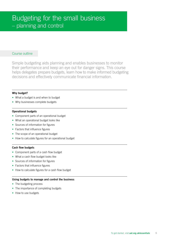Simple budgeting aids planning and enables businesses to monitor their performance and keep an eye out for danger signs. This course helps delegates prepare budgets, learn how to make informed budgeting decisions and effectively communicate financial information.

#### **Why budget?**

- **•** What a budget is and when to budget
- Why businesses complete budgets

# **Operational budgets**

- **•** Component parts of an operational budget
- **•** What an operational budget looks like
- **•** Sources of information for figures
- **•** Factors that influence figures
- **•** The scope of an operational budget
- **•** How to calculate figures for an operational budget

#### **Cash flow budgets**

- **•** Component parts of a cash flow budget
- **•** What a cash flow budget looks like
- **•** Sources of information for figures
- **•** Factors that influence figures
- **•** How to calculate figures for a cash flow budget

#### **Using budgets to manage and control the business**

- **•** The budgeting process
- **•** The importance of completing budgets
- **•** How to use budgets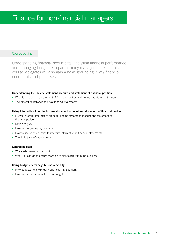Understanding financial documents, analysing financial performance and managing budgets is a part of many managers' roles. In this course, delegates will also gain a basic grounding in key financial documents and processes.

### **Understanding the income statement account and statement of financial position**

- **•** What is included in a statement of financial position and an income statement account
- **•** The difference between the two financial statements

#### **Using information from the income statement account and statement of financial position**

- **•** How to interpret information from an income statement account and statement of financial position
- **•** Ratio analysis
- **•** How to interpret using ratio analysis
- **•** How to use selected ratios to interpret information in financial statements
- **•** The limitations of ratio analysis

# **Controlling cash**

- **•** Why cash doesn't equal profit
- **•** What you can do to ensure there's sufficient cash within the business

#### **Using budgets to manage business activity**

- **•** How budgets help with daily business management
- **•** How to interpret information in a budget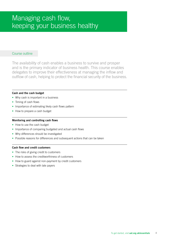The availability of cash enables a business to survive and prosper and is the primary indicator of business health. This course enables delegates to improve their effectiveness at managing the inflow and outflow of cash, helping to protect the financial security of the business.

# **Cash and the cash budget**

- **•** Why cash is important in a business
- **•** Timing of cash flows
- **•** Importance of estimating likely cash flows pattern
- **•** How to prepare a cash budget

# **Monitoring and controlling cash flows**

- **•** How to use the cash budget
- **•** Importance of comparing budgeted and actual cash flows
- **•** Why differences should be investigated
- **•** Possible reasons for differences and subsequent actions that can be taken

# **Cash flow and credit customers**

- **•** The risks of giving credit to customers
- **•** How to assess the creditworthiness of customers
- **•** How to guard against non-payment by credit customers
- **•** Strategies to deal with late payers